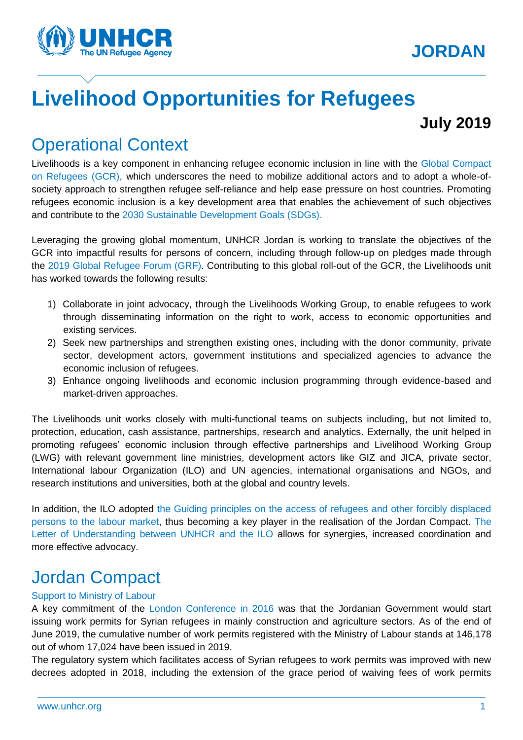

# **Livelihood Opportunities for Refugees**

## **July 2019**

# Operational Context

Livelihoods is a key component in enhancing refugee economic inclusion in line with the [Global Compact](https://www.unhcr.org/the-global-compact-on-refugees.html) [on Refugees \(GCR\),](https://www.unhcr.org/the-global-compact-on-refugees.html) which underscores the need to mobilize additional actors and to adopt a whole-ofsociety approach to strengthen refugee self-reliance and help ease pressure on host countries. Promoting refugees economic inclusion is a key development area that enables the achievement of such objectives and contribute to the [2030 Sustainable Development Goals](https://www.un.org/sustainabledevelopment/) (SDGs).

Leveraging the growing global momentum, UNHCR Jordan is working to translate the objectives of the GCR into impactful results for persons of concern, including through follow-up on pledges made through the [2019 Global Refugee Forum](https://www.unhcr.org/global-refugee-forum.html) (GRF). Contributing to this global roll-out of the GCR, the Livelihoods unit has worked towards the following results:

- 1) Collaborate in joint advocacy, through the Livelihoods Working Group, to enable refugees to work through disseminating information on the right to work, access to economic opportunities and existing services.
- 2) Seek new partnerships and strengthen existing ones, including with the donor community, private sector, development actors, government institutions and specialized agencies to advance the economic inclusion of refugees.
- 3) Enhance ongoing livelihoods and economic inclusion programming through evidence-based and market-driven approaches.

The Livelihoods unit works closely with multi-functional teams on subjects including, but not limited to, protection, education, cash assistance, partnerships, research and analytics. Externally, the unit helped in promoting refugees' economic inclusion through effective partnerships and Livelihood Working Group (LWG) with relevant government line ministries, development actors like GIZ and JICA, private sector, International labour Organization (ILO) and UN agencies, international organisations and NGOs, and research institutions and universities, both at the global and country levels.

In addition, the ILO adopted [the Guiding principles on the access of refugees and other forcibly displaced](https://www.ilo.org/global/topics/labour-migration/projects/WCMS_536440/lang--en/index.htm)  [persons to the labour market,](https://www.ilo.org/global/topics/labour-migration/projects/WCMS_536440/lang--en/index.htm) thus becoming a key player in the realisation of the Jordan Compact. [The](https://www.ilo.org/pardev/news/WCMS_634696/lang--en/index.htm)  [Letter of Understanding between UNHCR and the ILO](https://www.ilo.org/pardev/news/WCMS_634696/lang--en/index.htm) allows for synergies, increased coordination and more effective advocacy.

# Jordan Compact

### Support to Ministry of Labour

A key commitment of the [London Conference in 2016](https://www.unhcr.org/news/latest/2016/2/56b1fc4f6/london-syria-conference-world-leaders-urged-help-syrians.html) was that the Jordanian Government would start issuing work permits for Syrian refugees in mainly construction and agriculture sectors. As of the end of June 2019, the cumulative number of work permits registered with the Ministry of Labour stands at 146,178 out of whom 17,024 have been issued in 2019.

The regulatory system which facilitates access of Syrian refugees to work permits was improved with new decrees adopted in 2018, including the extension of the grace period of waiving fees of work permits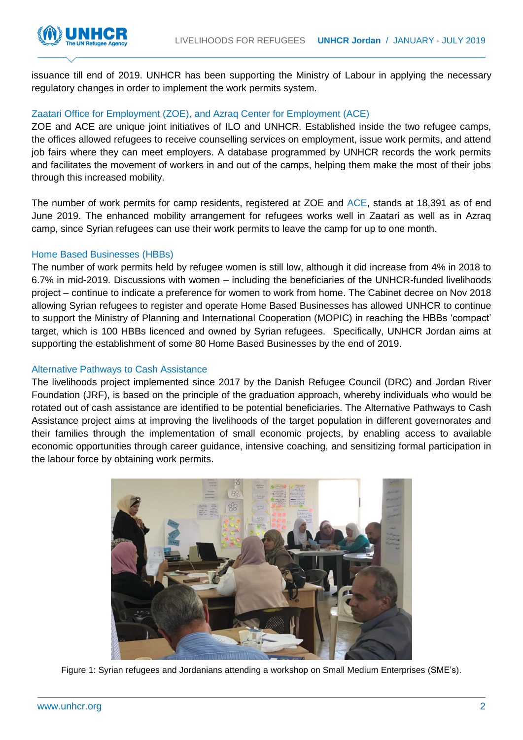

issuance till end of 2019. UNHCR has been supporting the Ministry of Labour in applying the necessary regulatory changes in order to implement the work permits system.

### Zaatari Office for Employment (ZOE), and Azraq Center for Employment (ACE)

ZOE and ACE are unique joint initiatives of ILO and UNHCR. Established inside the two refugee camps, the offices allowed refugees to receive counselling services on employment, issue work permits, and attend job fairs where they can meet employers. A database programmed by UNHCR records the work permits and facilitates the movement of workers in and out of the camps, helping them make the most of their jobs through this increased mobility.

The number of work permits for camp residents, registered at ZOE and [ACE,](https://data2.unhcr.org/en/documents/details/62979) stands at 18,391 as of end June 2019. The enhanced mobility arrangement for refugees works well in Zaatari as well as in Azraq camp, since Syrian refugees can use their work permits to leave the camp for up to one month.

#### Home Based Businesses (HBBs)

The number of work permits held by refugee women is still low, although it did increase from 4% in 2018 to 6.7% in mid-2019. Discussions with women – including the beneficiaries of the UNHCR-funded livelihoods project – continue to indicate a preference for women to work from home. The Cabinet decree on Nov 2018 allowing Syrian refugees to register and operate Home Based Businesses has allowed UNHCR to continue to support the Ministry of Planning and International Cooperation (MOPIC) in reaching the HBBs 'compact' target, which is 100 HBBs licenced and owned by Syrian refugees. Specifically, UNHCR Jordan aims at supporting the establishment of some 80 Home Based Businesses by the end of 2019.

### Alternative Pathways to Cash Assistance

The livelihoods project implemented since 2017 by the Danish Refugee Council (DRC) and Jordan River Foundation (JRF), is based on the principle of the graduation approach, whereby individuals who would be rotated out of cash assistance are identified to be potential beneficiaries. The Alternative Pathways to Cash Assistance project aims at improving the livelihoods of the target population in different governorates and their families through the implementation of small economic projects, by enabling access to available economic opportunities through career guidance, intensive coaching, and sensitizing formal participation in the labour force by obtaining work permits.



Figure 1: Syrian refugees and Jordanians attending a workshop on Small Medium Enterprises (SME's).